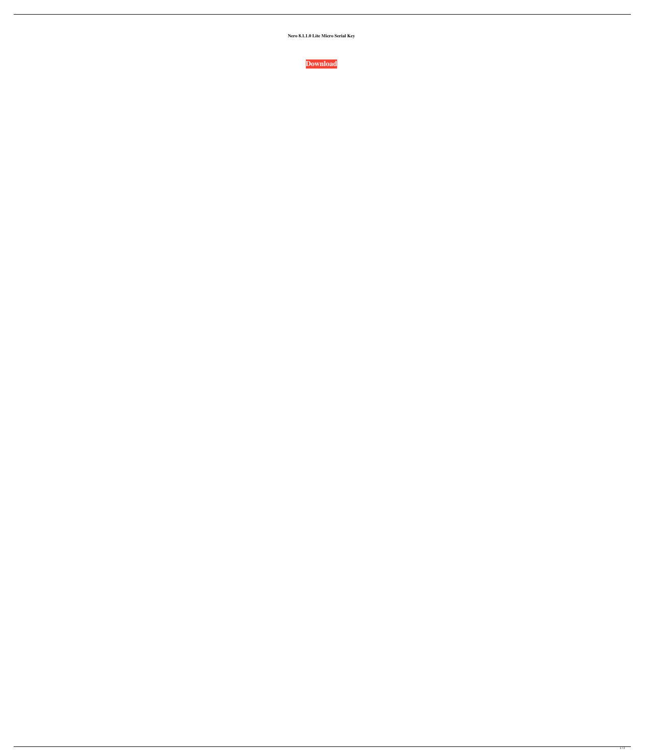**Nero 8.1.1.0 Lite Micro Serial Key**